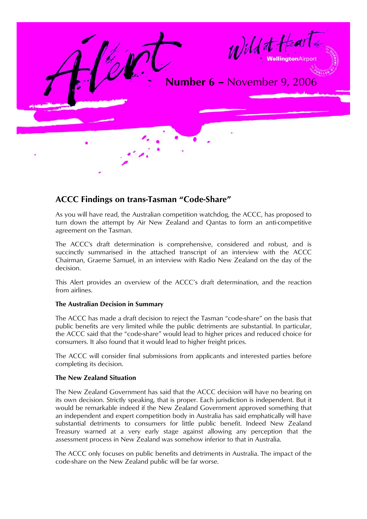

# **ACCC Findings on trans-Tasman "Code-Share"**

As you will have read, the Australian competition watchdog, the ACCC, has proposed to turn down the attempt by Air New Zealand and Qantas to form an anti-competitive agreement on the Tasman.

The ACCC's draft determination is comprehensive, considered and robust, and is succinctly summarised in the attached transcript of an interview with the ACCC Chairman, Graeme Samuel, in an interview with Radio New Zealand on the day of the decision.

This Alert provides an overview of the ACCC's draft determination, and the reaction from airlines.

## **The Australian Decision in Summary**

The ACCC has made a draft decision to reject the Tasman "code-share" on the basis that public benefits are very limited while the public detriments are substantial. In particular, the ACCC said that the "code-share" would lead to higher prices and reduced choice for consumers. It also found that it would lead to higher freight prices.

The ACCC will consider final submissions from applicants and interested parties before completing its decision.

#### **The New Zealand Situation**

The New Zealand Government has said that the ACCC decision will have no bearing on its own decision. Strictly speaking, that is proper. Each jurisdiction is independent. But it would be remarkable indeed if the New Zealand Government approved something that an independent and expert competition body in Australia has said emphatically will have substantial detriments to consumers for little public benefit. Indeed New Zealand Treasury warned at a very early stage against allowing any perception that the assessment process in New Zealand was somehow inferior to that in Australia.

The ACCC only focuses on public benefits and detriments in Australia. The impact of the code-share on the New Zealand public will be far worse.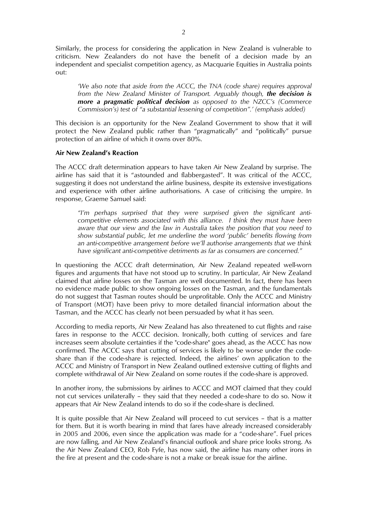Similarly, the process for considering the application in New Zealand is vulnerable to criticism. New Zealanders do not have the benefit of a decision made by an independent and specialist competition agency, as Macquarie Equities in Australia points out:

*'We also note that aside from the ACCC, the TNA (code share) requires approval from the New Zealand Minister of Transport. Arguably though, the decision is more a pragmatic political decision as opposed to the NZCC's (Commerce Commission's) test of "a substantial lessening of competition".' (emphasis added)* 

This decision is an opportunity for the New Zealand Government to show that it will protect the New Zealand public rather than "pragmatically" and "politically" pursue protection of an airline of which it owns over 80%.

#### **Air New Zealand's Reaction**

The ACCC draft determination appears to have taken Air New Zealand by surprise. The airline has said that it is "astounded and flabbergasted". It was critical of the ACCC, suggesting it does not understand the airline business, despite its extensive investigations and experience with other airline authorisations. A case of criticising the umpire. In response, Graeme Samuel said:

*"I'm perhaps surprised that they were surprised given the significant anticompetitive elements associated with this alliance. I think they must have been aware that our view and the law in Australia takes the position that you need to show substantial public, let me underline the word 'public' benefits flowing from an anti-competitive arrangement before we'll authorise arrangements that we think have significant anti-competitive detriments as far as consumers are concerned."* 

In questioning the ACCC draft determination, Air New Zealand repeated well-worn figures and arguments that have not stood up to scrutiny. In particular, Air New Zealand claimed that airline losses on the Tasman are well documented. In fact, there has been no evidence made public to show ongoing losses on the Tasman, and the fundamentals do not suggest that Tasman routes should be unprofitable. Only the ACCC and Ministry of Transport (MOT) have been privy to more detailed financial information about the Tasman, and the ACCC has clearly not been persuaded by what it has seen.

According to media reports, Air New Zealand has also threatened to cut flights and raise fares in response to the ACCC decision. Ironically, both cutting of services and fare increases seem absolute certainties if the "code-share" goes ahead, as the ACCC has now confirmed. The ACCC says that cutting of services is likely to be worse under the codeshare than if the code-share is rejected. Indeed, the airlines' own application to the ACCC and Ministry of Transport in New Zealand outlined extensive cutting of flights and complete withdrawal of Air New Zealand on some routes if the code-share is approved.

In another irony, the submissions by airlines to ACCC and MOT claimed that they could not cut services unilaterally – they said that they needed a code-share to do so. Now it appears that Air New Zealand intends to do so if the code-share is declined.

It is quite possible that Air New Zealand will proceed to cut services – that is a matter for them. But it is worth bearing in mind that fares have already increased considerably in 2005 and 2006, even since the application was made for a "code-share". Fuel prices are now falling, and Air New Zealand's financial outlook and share price looks strong. As the Air New Zealand CEO, Rob Fyfe, has now said, the airline has many other irons in the fire at present and the code-share is not a make or break issue for the airline.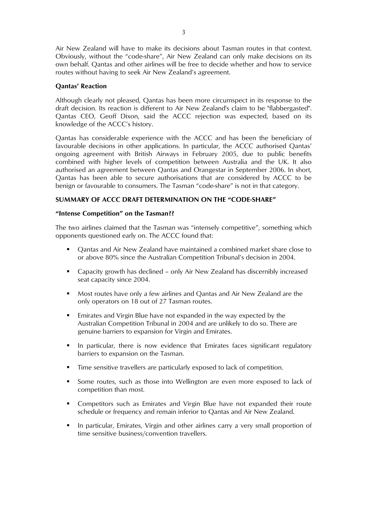Air New Zealand will have to make its decisions about Tasman routes in that context. Obviously, without the "code-share", Air New Zealand can only make decisions on its own behalf. Qantas and other airlines will be free to decide whether and how to service routes without having to seek Air New Zealand's agreement.

## **Qantas' Reaction**

Although clearly not pleased, Qantas has been more circumspect in its response to the draft decision. Its reaction is different to Air New Zealand's claim to be "flabbergasted". Qantas CEO, Geoff Dixon, said the ACCC rejection was expected, based on its knowledge of the ACCC's history.

Qantas has considerable experience with the ACCC and has been the beneficiary of favourable decisions in other applications. In particular, the ACCC authorised Qantas' ongoing agreement with British Airways in February 2005, due to public benefits combined with higher levels of competition between Australia and the UK. It also authorised an agreement between Qantas and Orangestar in September 2006. In short, Qantas has been able to secure authorisations that are considered by ACCC to be benign or favourable to consumers. The Tasman "code-share" is not in that category.

## **SUMMARY OF ACCC DRAFT DETERMINATION ON THE "CODE-SHARE"**

#### **"Intense Competition" on the Tasman??**

The two airlines claimed that the Tasman was "intensely competitive", something which opponents questioned early on. The ACCC found that:

- Qantas and Air New Zealand have maintained a combined market share close to or above 80% since the Australian Competition Tribunal's decision in 2004.
- Capacity growth has declined only Air New Zealand has discernibly increased seat capacity since 2004.
- Most routes have only a few airlines and Qantas and Air New Zealand are the only operators on 18 out of 27 Tasman routes.
- Emirates and Virgin Blue have not expanded in the way expected by the Australian Competition Tribunal in 2004 and are unlikely to do so. There are genuine barriers to expansion for Virgin and Emirates.
- In particular, there is now evidence that Emirates faces significant regulatory barriers to expansion on the Tasman.
- Time sensitive travellers are particularly exposed to lack of competition.
- Some routes, such as those into Wellington are even more exposed to lack of competition than most.
- Competitors such as Emirates and Virgin Blue have not expanded their route schedule or frequency and remain inferior to Qantas and Air New Zealand.
- In particular, Emirates, Virgin and other airlines carry a very small proportion of time sensitive business/convention travellers.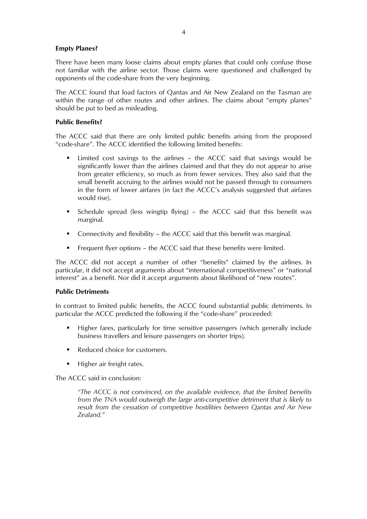## **Empty Planes?**

There have been many loose claims about empty planes that could only confuse those not familiar with the airline sector. Those claims were questioned and challenged by opponents of the code-share from the very beginning.

The ACCC found that load factors of Qantas and Air New Zealand on the Tasman are within the range of other routes and other airlines. The claims about "empty planes" should be put to bed as misleading.

#### **Public Benefits?**

The ACCC said that there are only limited public benefits arising from the proposed "code-share". The ACCC identified the following limited benefits:

- Limited cost savings to the airlines the ACCC said that savings would be significantly lower than the airlines claimed and that they do not appear to arise from greater efficiency, so much as from fewer services. They also said that the small benefit accruing to the airlines would not be passed through to consumers in the form of lower airfares (in fact the ACCC's analysis suggested that airfares would rise).
- Schedule spread (less wingtip flying) the ACCC said that this benefit was marginal.
- Connectivity and flexibility the ACCC said that this benefit was marginal.
- Frequent flyer options the ACCC said that these benefits were limited.

The ACCC did not accept a number of other "benefits" claimed by the airlines. In particular, it did not accept arguments about "international competitiveness" or "national interest" as a benefit. Nor did it accept arguments about likelihood of "new routes".

## **Public Detriments**

In contrast to limited public benefits, the ACCC found substantial public detriments. In particular the ACCC predicted the following if the "code-share" proceeded:

- Higher fares, particularly for time sensitive passengers (which generally include business travellers and leisure passengers on shorter trips).
- Reduced choice for customers.
- Higher air freight rates.

The ACCC said in conclusion:

*"The ACCC is not convinced, on the available evidence, that the limited benefits from the TNA would outweigh the large anti-competitive detriment that is likely to result from the cessation of competitive hostilities between Qantas and Air New Zealand."*